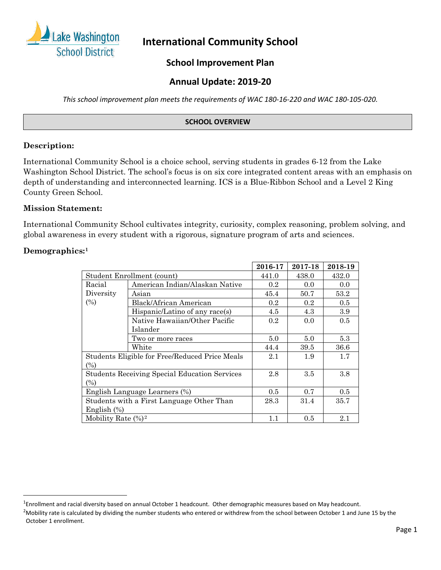

# **International Community School**

# **School Improvement Plan**

# **Annual Update: 2019-20**

*This school improvement plan meets the requirements of WAC 180-16-220 and WAC 180-105-020.*

### **SCHOOL OVERVIEW**

### **Description:**

International Community School is a choice school, serving students in grades 6-12 from the Lake Washington School District. The school's focus is on six core integrated content areas with an emphasis on depth of understanding and interconnected learning. ICS is a Blue-Ribbon School and a Level 2 King County Green School.

### **Mission Statement:**

International Community School cultivates integrity, curiosity, complex reasoning, problem solving, and global awareness in every student with a rigorous, signature program of arts and sciences.

#### **Demographics[:1](#page-0-0)**

|                        |                                                      | 2016-17 | 2017-18 | 2018-19 |
|------------------------|------------------------------------------------------|---------|---------|---------|
|                        | Student Enrollment (count)                           | 441.0   | 438.0   | 432.0   |
| Racial                 | American Indian/Alaskan Native                       | $0.2\,$ | 0.0     | 0.0     |
| Diversity              | Asian                                                | 45.4    | 50.7    | 53.2    |
| (%)                    | Black/African American                               | 0.2     | 0.2     | 0.5     |
|                        | Hispanic/Latino of any race(s)                       | 4.5     | 4.3     | 3.9     |
|                        | Native Hawaiian/Other Pacific                        | $0.2\,$ | 0.0     | 0.5     |
|                        | Islander                                             |         |         |         |
|                        | Two or more races                                    | 5.0     | 5.0     | 5.3     |
|                        | White                                                | 44.4    | 39.5    | 36.6    |
|                        | Students Eligible for Free/Reduced Price Meals       | 2.1     | 1.9     | $1.7\,$ |
| $(\%)$                 |                                                      |         |         |         |
|                        | <b>Students Receiving Special Education Services</b> | 2.8     | 3.5     | 3.8     |
| $(\%)$                 |                                                      |         |         |         |
|                        | English Language Learners (%)                        | 0.5     | 0.7     | 0.5     |
|                        | Students with a First Language Other Than            | 28.3    | 31.4    | 35.7    |
| English $(\%)$         |                                                      |         |         |         |
| Mobility Rate $(\%)^2$ |                                                      | 1.1     | 0.5     | 2.1     |

<span id="page-0-0"></span><sup>&</sup>lt;sup>1</sup>Enrollment and racial diversity based on annual October 1 headcount. Other demographic measures based on May headcount.

<span id="page-0-1"></span><sup>&</sup>lt;sup>2</sup>Mobility rate is calculated by dividing the number students who entered or withdrew from the school between October 1 and June 15 by the October 1 enrollment.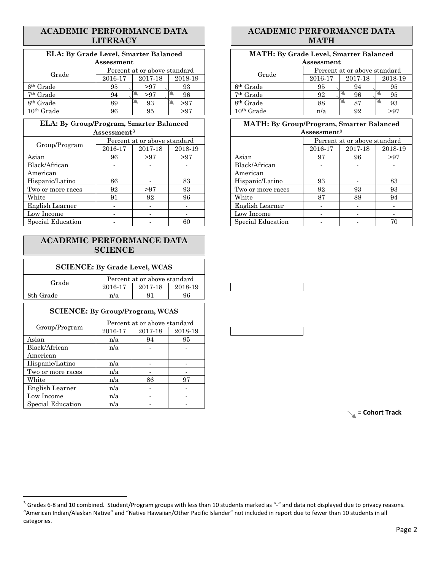### **ACADEMIC PERFORMANCE DATA LITERACY**

# **ELA: By Grade Level, Smarter Balanced**

| Assessment            |                               |     |         |         | Assessment            |                              |    |     |
|-----------------------|-------------------------------|-----|---------|---------|-----------------------|------------------------------|----|-----|
| Grade                 | Percent at or above standard  |     |         |         | Grade                 | Percent at or above standard |    |     |
|                       | 2018-19<br>2016-17<br>2017-18 |     | 2016-17 | 2017-18 | 2018-                 |                              |    |     |
| 6 <sup>th</sup> Grade | 95                            | >97 | 93      |         | 6 <sup>th</sup> Grade | 95                           | 94 | 95  |
| <sup>7th</sup> Grade  | 94                            | >97 | 96      |         | <sup>7th</sup> Grade  | 92                           | 96 | 95  |
| 8 <sup>th</sup> Grade | 89                            | 93  | >97     |         | 8 <sup>th</sup> Grade | 88                           | 87 | 93  |
| $10th$ Grade          | 96                            | 95  | >97     |         | $10th$ Grade          | n/a                          | 92 | >97 |

| ELA: By Group/Program, Smarter Balanced |                         |                              |         | <b>MATH:</b> By Group/Program, Smarter Balanced |                         |                              |
|-----------------------------------------|-------------------------|------------------------------|---------|-------------------------------------------------|-------------------------|------------------------------|
|                                         | Assessment <sup>3</sup> |                              |         |                                                 | Assessment <sup>3</sup> |                              |
|                                         |                         | Percent at or above standard |         |                                                 |                         | Percent at or above standard |
| Group/Program                           | 2016-17                 | 2017-18                      | 2018-19 |                                                 | 2016-17                 | 2017-18                      |
| Asian                                   | 96                      | >97                          | >97     | Asian                                           | 97                      | 96                           |
| Black/African                           |                         |                              |         | Black/African                                   |                         |                              |
| American                                |                         |                              |         | American                                        |                         |                              |
| Hispanic/Latino                         | 86                      |                              | 83      | Hispanic/Latino                                 | 93                      |                              |
| Two or more races                       | 92                      | > 97                         | 93      | Two or more races                               | 92                      | 93                           |
| White                                   | 91                      | 92                           | 96      | White                                           | 87                      | 88                           |
| English Learner                         |                         |                              |         | English Learner                                 |                         |                              |
| Low Income                              |                         |                              |         | Low Income                                      |                         |                              |
| Special Education                       |                         |                              | 60      | Special Education                               |                         |                              |

### **ACADEMIC PERFORMANCE DATA SCIENCE**

#### **SCIENCE: By Grade Level, WCAS**

| Grade     | Percent at or above standard |         |         |  |  |  |
|-----------|------------------------------|---------|---------|--|--|--|
|           | 2016-17                      | 2017-18 | 2018-19 |  |  |  |
| 8th Grade | n/a                          |         | 96      |  |  |  |

#### **SCIENCE: By Group/Program, WCAS**

|                   |         | Percent at or above standard |         |
|-------------------|---------|------------------------------|---------|
| Group/Program     | 2016-17 | 2017-18                      | 2018-19 |
| Asian             | n/a     | 94                           | 95      |
| Black/African     | n/a     |                              |         |
| American          |         |                              |         |
| Hispanic/Latino   | n/a     |                              |         |
| Two or more races | n/a     |                              |         |
| White             | n/a     | 86                           | 97      |
| English Learner   | n/a     |                              |         |
| Low Income        | n/a     |                              |         |
| Special Education | n/a     |                              |         |

## **ACADEMIC PERFORMANCE DATA MATH**

| LA: By Grade Level, Smarter Balanced |            |                              | <b>MATH: By Grade Level, Smarter Balanced</b> |                       |                              |    |     |  |
|--------------------------------------|------------|------------------------------|-----------------------------------------------|-----------------------|------------------------------|----|-----|--|
|                                      | Assessment |                              |                                               | Assessment            |                              |    |     |  |
| Grade                                |            | Percent at or above standard |                                               | Grade                 | Percent at or above standard |    |     |  |
| 2018-19<br>2017-18<br>2016-17        |            | 2016-17                      | 2017-18                                       | 2018-19               |                              |    |     |  |
| le                                   | 95         | > 97                         | 93                                            | 6 <sup>th</sup> Grade | 95                           | 94 | 95  |  |
| $_{\rm le}$                          | 94         | >97                          | 96                                            | $7th$ Grade           | 92                           | 96 | 95  |  |
| $_{\rm le}$                          | 89         | 93                           | >97                                           | 8 <sup>th</sup> Grade | 88                           | 87 | 93  |  |
| ıde                                  | 96         | 95                           | >97                                           | $10th$ Grade          | n/a                          | 92 | >97 |  |

# **MATH: By Group/Program, Smarter Balanced**

|                 | $\operatorname{Assessment}^3$ |                              |         |                   | Assessment <sup>3</sup>      |         |         |  |
|-----------------|-------------------------------|------------------------------|---------|-------------------|------------------------------|---------|---------|--|
|                 |                               | Percent at or above standard |         |                   | Percent at or above standard |         |         |  |
| Group/Program   | 2016-17                       | 2017-18                      | 2018-19 |                   | 2016-17                      | 2017-18 | 2018-19 |  |
| an              | 96                            | > 97                         | >97     | Asian             | 97                           | 96      | >97     |  |
| ıck/African     |                               |                              |         | Black/African     |                              |         |         |  |
| ıerican         |                               |                              |         | American          |                              |         |         |  |
| spanic/Latino   | 86                            |                              | 83      | Hispanic/Latino   | 93                           |         | 83      |  |
| o or more races | 92                            | > 97                         | 93      | Two or more races | 92                           | 93      | 93      |  |
| ıite            | 91                            | 92                           | 96      | White             | 87                           | 88      | 94      |  |
| glish Learner   |                               |                              |         | English Learner   |                              |         |         |  |
| v Income        |                               |                              |         | Low Income        |                              |         |         |  |
| ecial Education |                               |                              | 60      | Special Education |                              |         | 70      |  |

**= Cohort Track**

<span id="page-1-0"></span> $3$  Grades 6-8 and 10 combined. Student/Program groups with less than 10 students marked as "-" and data not displayed due to privacy reasons. "American Indian/Alaskan Native" and "Native Hawaiian/Other Pacific Islander" not included in report due to fewer than 10 students in all categories.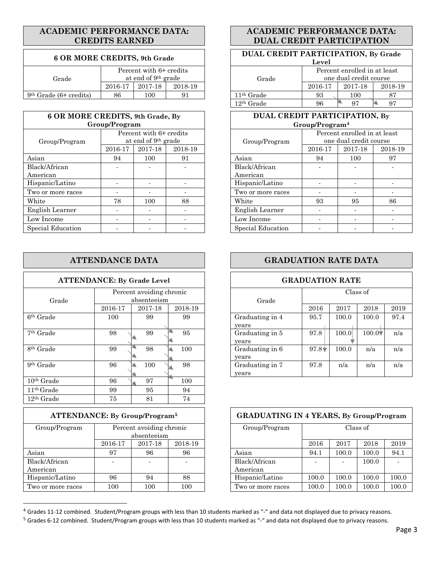### **ACADEMIC PERFORMANCE DATA: CREDITS EARNED**

#### $6$  OR MORE CREDITS, 9th Grade

|                          |         |                                 |         |              | ---                          |         |      |  |
|--------------------------|---------|---------------------------------|---------|--------------|------------------------------|---------|------|--|
|                          |         | Percent with 6+ credits         |         |              | Percent enrolled in at least |         |      |  |
| Grade                    |         | at end of 9 <sup>th</sup> grade |         | Grade        | one dual credit course       |         |      |  |
|                          | 2016-17 | 2017-18                         | 2018-19 |              | 2016-17                      | 2017-18 | 2018 |  |
| $9th$ Grade (6+ credits) | 86      | 100                             | 91      | $11th$ Grade | 93                           | 100     | 87   |  |

| 6 OR MORE CREDITS, 9th Grade, By |                                                            |         |         | DUAL CREDIT PARTICIPATION, By |                                                        |         |      |  |
|----------------------------------|------------------------------------------------------------|---------|---------|-------------------------------|--------------------------------------------------------|---------|------|--|
|                                  | Group/Program                                              |         |         | Group/Program <sup>4</sup>    |                                                        |         |      |  |
| Group/Program                    | Percent with 6+ credits<br>at end of 9 <sup>th</sup> grade |         |         | Group/Program                 | Percent enrolled in at least<br>one dual credit course |         |      |  |
|                                  | 2016-17                                                    | 2017-18 | 2018-19 |                               | 2016-17                                                | 2017-18 | 2018 |  |
| Asian                            | 94                                                         | 100     | 91      | Asian                         | 94                                                     | 100     | 97   |  |
| Black/African<br>American        |                                                            |         |         | Black/African<br>American     |                                                        |         |      |  |
| Hispanic/Latino                  |                                                            |         |         | Hispanic/Latino               |                                                        |         |      |  |
| Two or more races                |                                                            |         |         | Two or more races             |                                                        |         |      |  |
| White                            | 78                                                         | 100     | 88      | White                         | 93                                                     | 95      | 86   |  |
| English Learner                  |                                                            |         |         | English Learner               |                                                        |         |      |  |
| Low Income                       |                                                            |         |         | Low Income                    |                                                        |         |      |  |
| Special Education                |                                                            |         |         | Special Education             |                                                        |         |      |  |

|                       | <b>ATTENDANCE DATA</b>              |               |               |  |                          |  |  |  |  |  |
|-----------------------|-------------------------------------|---------------|---------------|--|--------------------------|--|--|--|--|--|
|                       | <b>ATTENDANCE: By Grade Level</b>   |               |               |  |                          |  |  |  |  |  |
| Grade                 | Percent avoiding chronic<br>2016-17 |               | Grade         |  |                          |  |  |  |  |  |
| 6 <sup>th</sup> Grade | 100                                 | 2017-18<br>99 | 2018-19<br>99 |  | Graduating in 4<br>years |  |  |  |  |  |
| <sup>7th</sup> Grade  | 98                                  | 99            | 95            |  | Graduating in 5<br>years |  |  |  |  |  |
| 8 <sup>th</sup> Grade | 99                                  | 98            | 100           |  | Graduating in 6<br>years |  |  |  |  |  |
| 9 <sup>th</sup> Grade | 96                                  | 100           | 98            |  | Graduating in 7<br>years |  |  |  |  |  |
| $10th$ Grade          | 96                                  | 97            | 100           |  |                          |  |  |  |  |  |
| $11th$ Grade          | 99                                  | 95            | 94            |  |                          |  |  |  |  |  |
| $12th$ Grade          | 75                                  | 81            | 74            |  |                          |  |  |  |  |  |

| <b>ATTENDANCE:</b> By Group/Program <sup>5</sup> |         |                                         |         | <b>GRADUATING IN 4 YEARS, By Group/Program</b> |          |       |       |       |
|--------------------------------------------------|---------|-----------------------------------------|---------|------------------------------------------------|----------|-------|-------|-------|
| Group/Program                                    |         | Percent avoiding chronic<br>absenteeism |         | Group/Program                                  | Class of |       |       |       |
|                                                  | 2016-17 | 2017-18                                 | 2018-19 |                                                | 2016     | 2017  | 2018  | 2019  |
| Asian                                            | 97      | 96                                      | 96      | Asian                                          | 94.1     | 100.0 | 100.0 | 94.1  |
| Black/African<br>American                        |         |                                         |         | Black/African<br>American                      |          |       | 100.0 |       |
| Hispanic/Latino                                  | 96      | 94                                      | 88      | Hispanic/Latino                                | 100.0    | 100.0 | 100.0 | 100.0 |
| Two or more races                                | 100     | 100                                     | 100     | Two or more races                              | 100.0    | 100.0 | 100.0 | 100.0 |

### **ACADEMIC PERFORMANCE DATA: DUAL CREDIT PARTICIPATION**

|         | <b>REDITS, 9th Grade</b>                         |         | DUAL CREDIT PARTICIPATION, By Grade<br>Level                    |         |         |         |  |  |
|---------|--------------------------------------------------|---------|-----------------------------------------------------------------|---------|---------|---------|--|--|
|         | Percent with 6+ credits<br>at end of $9th$ grade |         | Percent enrolled in at least<br>one dual credit course<br>Grade |         |         |         |  |  |
| 2016-17 | 2017-18                                          | 2018-19 |                                                                 | 2016-17 | 2017-18 | 2018-19 |  |  |
| 86      | 100                                              | 91      | $11th$ Grade                                                    | 93      | 100     | 87      |  |  |
|         |                                                  |         | $12th$ Grade                                                    | 96      | 97      | 97      |  |  |

#### **DUAL CREDIT PARTICIPATION, By Group/Program[4](#page-2-0)**

|         | Percent with 6+ credits<br>at end of 9 <sup>th</sup> grade |         | Group/Program             |         | Percent enrolled in at least<br>one dual credit course |         |
|---------|------------------------------------------------------------|---------|---------------------------|---------|--------------------------------------------------------|---------|
| 2016-17 | 2017-18                                                    | 2018-19 |                           | 2016-17 | 2017-18                                                | 2018-19 |
| 94      | 100                                                        | 91      | Asian                     | 94      | 100                                                    | 97      |
|         |                                                            |         | Black/African<br>American |         |                                                        |         |
|         |                                                            |         | Hispanic/Latino           |         |                                                        |         |
|         |                                                            |         | Two or more races         |         |                                                        |         |
| 78      | 100                                                        | 88      | White                     | 93      | 95                                                     | 86      |
|         |                                                            |         | English Learner           |         |                                                        |         |
|         |                                                            |         | Low Income                |         |                                                        |         |
|         |                                                            |         | Special Education         |         |                                                        |         |

# **GRADUATION RATE DATA**

### **GRADUATION RATE**

|               | Percent avoiding chronic |                      |                 |                |       | Class of |      |
|---------------|--------------------------|----------------------|-----------------|----------------|-------|----------|------|
|               | absenteeism              |                      | Grade           |                |       |          |      |
| 2016-17       | 2017-18                  | 2018-19              |                 | 2016           | 2017  | 2018     | 2019 |
| 100           | 99                       | 99                   | Graduating in 4 | 95.7           | 100.0 | 100.0    | 97.4 |
|               |                          |                      | years           |                |       |          |      |
| 98            | 99                       | 95                   | Graduating in 5 | 97.8           | 100.0 | $100.0*$ | n/a  |
|               |                          |                      | vears           |                |       |          |      |
| 99            | 98                       | 100                  | Graduating in 6 | $97.8\text{V}$ | 100.0 | n/a      | n/a  |
|               |                          |                      | years           |                |       |          |      |
| 96            | 100                      | 98                   | Graduating in 7 | 97.8           | n/a   | n/a      | n/a  |
|               |                          |                      | years           |                |       |          |      |
| $\sim$ $\sim$ | $\sim$ $-$               | $\sim$ $\sim$ $\sim$ |                 |                |       |          |      |

| <b>ATTENDANCE:</b> By Group/Program <sup>5</sup> |                          |                                         |         | <b>GRADUATING IN 4 YEARS, By Group/Program</b> |       |       |          |       |
|--------------------------------------------------|--------------------------|-----------------------------------------|---------|------------------------------------------------|-------|-------|----------|-------|
| Group/Program                                    |                          | Percent avoiding chronic<br>absenteeism |         | Group/Program                                  |       |       | Class of |       |
|                                                  | 2016-17                  | 2017-18                                 | 2018-19 |                                                | 2016  | 2017  | 2018     | 2019  |
| Asian                                            | 97                       | 96                                      | 96      | Asian                                          | 94.1  | 100.0 | 100.0    | 94.1  |
| Black/African                                    | $\overline{\phantom{a}}$ |                                         |         | Black/African                                  |       |       | 100.0    |       |
| American                                         |                          |                                         |         | American                                       |       |       |          |       |
| Hispanic/Latino                                  | 96                       | 94                                      | 88      | Hispanic/Latino                                | 100.0 | 100.0 | 100.0    | 100.0 |
| Two or more races                                | 100                      | 100                                     | 100     | Two or more races                              | 100.0 | 100.0 | 100.0    | 100.0 |

<span id="page-2-0"></span><sup>4</sup> Grades 11-12 combined. Student/Program groups with less than 10 students marked as "-" and data not displayed due to privacy reasons.

<span id="page-2-1"></span><sup>5</sup> Grades 6-12 combined. Student/Program groups with less than 10 students marked as "-" and data not displayed due to privacy reasons.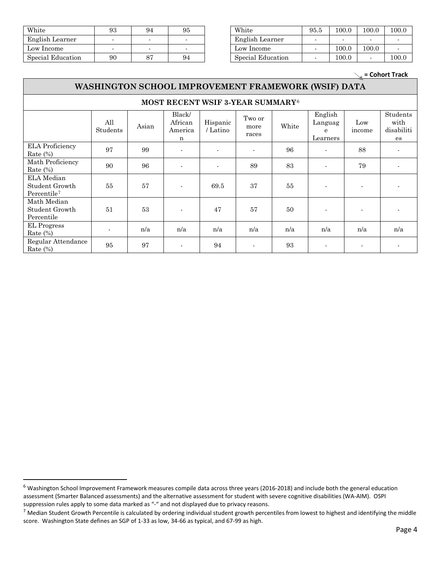| White             | 93 | 94 | 95 | White             | 95.5 | 100.0 | 100.0 | 100 |
|-------------------|----|----|----|-------------------|------|-------|-------|-----|
| English Learner   |    |    |    | English Learner   |      |       |       |     |
| Low Income        |    |    |    | Low Income        |      | 100.0 | 100.0 |     |
| Special Education | 90 |    | 94 | Special Education |      | 100.0 |       | 100 |

| White             | 93 | 94 | 95 | White             | 95.5 | 100.0 | 100.0 | 100.0 |
|-------------------|----|----|----|-------------------|------|-------|-------|-------|
| English Learner   |    |    |    | English Learner   |      |       |       |       |
| Low Income        |    |    |    | Low Income        |      | 100.0 | 100.0 |       |
| Special Education | 90 |    | 94 | Special Education |      | 100.0 |       | 100.0 |

**= Cohort Track**

### **WASHINGTON SCHOOL IMPROVEMENT FRAMEWORK (WSIF) DATA**

|                                                         |                          |       | MOST RECENT WSIF 3-YEAR SUMMARY <sup>6</sup> |                      |                         |       |                                     |                          |                                             |
|---------------------------------------------------------|--------------------------|-------|----------------------------------------------|----------------------|-------------------------|-------|-------------------------------------|--------------------------|---------------------------------------------|
|                                                         | All<br>Students          | Asian | Black/<br>African<br>America<br>n            | Hispanic<br>/ Latino | Two or<br>more<br>races | White | English<br>Languag<br>e<br>Learners | Low<br>income            | <b>Students</b><br>with<br>disabiliti<br>es |
| <b>ELA</b> Proficiency<br>Rate $(\%)$                   | 97                       | 99    | $\overline{\phantom{a}}$                     |                      |                         | 96    | $\blacksquare$                      | 88                       |                                             |
| Math Proficiency<br>Rate $(\%)$                         | 90                       | 96    | $\blacksquare$                               | $\blacksquare$       | 89                      | 83    | $\overline{\phantom{a}}$            | 79                       |                                             |
| ELA Median<br>Student Growth<br>Percentile <sup>7</sup> | 55                       | 57    |                                              | 69.5                 | 37                      | 55    | $\blacksquare$                      | ٠                        |                                             |
| Math Median<br>Student Growth<br>Percentile             | 51                       | 53    | $\blacksquare$                               | 47                   | 57                      | 50    | $\overline{\phantom{a}}$            | $\blacksquare$           |                                             |
| <b>EL</b> Progress<br>Rate $(\%)$                       | $\overline{\phantom{a}}$ | n/a   | n/a                                          | n/a                  | n/a                     | n/a   | n/a                                 | n/a                      | n/a                                         |
| Regular Attendance<br>Rate $(\%)$                       | 95                       | 97    | $\blacksquare$                               | 94                   |                         | 93    | $\blacksquare$                      | $\overline{\phantom{a}}$ |                                             |

<span id="page-3-0"></span><sup>6</sup> Washington School Improvement Framework measures compile data across three years (2016-2018) and include both the general education assessment (Smarter Balanced assessments) and the alternative assessment for student with severe cognitive disabilities (WA-AIM). OSPI suppression rules apply to some data marked as "-" and not displayed due to privacy reasons.

<span id="page-3-1"></span> $^7$  Median Student Growth Percentile is calculated by ordering individual student growth percentiles from lowest to highest and identifying the middle score. Washington State defines an SGP of 1-33 as low, 34-66 as typical, and 67-99 as high.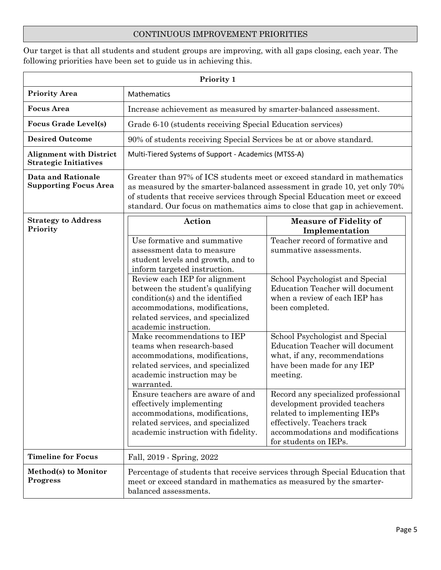### CONTINUOUS IMPROVEMENT PRIORITIES

Our target is that all students and student groups are improving, with all gaps closing, each year. The following priorities have been set to guide us in achieving this.

|                                                                | Priority 1                                                                                                                                                                                                                                                                                                                                                                                                                                                                                                                                                                                                                                                                                                     |                                                                                                                                                                                                                                                                                                                                                                                                                                                                                                                                                                           |  |  |
|----------------------------------------------------------------|----------------------------------------------------------------------------------------------------------------------------------------------------------------------------------------------------------------------------------------------------------------------------------------------------------------------------------------------------------------------------------------------------------------------------------------------------------------------------------------------------------------------------------------------------------------------------------------------------------------------------------------------------------------------------------------------------------------|---------------------------------------------------------------------------------------------------------------------------------------------------------------------------------------------------------------------------------------------------------------------------------------------------------------------------------------------------------------------------------------------------------------------------------------------------------------------------------------------------------------------------------------------------------------------------|--|--|
| <b>Priority Area</b>                                           | Mathematics                                                                                                                                                                                                                                                                                                                                                                                                                                                                                                                                                                                                                                                                                                    |                                                                                                                                                                                                                                                                                                                                                                                                                                                                                                                                                                           |  |  |
| <b>Focus Area</b>                                              | Increase achievement as measured by smarter-balanced assessment.                                                                                                                                                                                                                                                                                                                                                                                                                                                                                                                                                                                                                                               |                                                                                                                                                                                                                                                                                                                                                                                                                                                                                                                                                                           |  |  |
| <b>Focus Grade Level(s)</b>                                    | Grade 6-10 (students receiving Special Education services)                                                                                                                                                                                                                                                                                                                                                                                                                                                                                                                                                                                                                                                     |                                                                                                                                                                                                                                                                                                                                                                                                                                                                                                                                                                           |  |  |
| <b>Desired Outcome</b>                                         | 90% of students receiving Special Services be at or above standard.                                                                                                                                                                                                                                                                                                                                                                                                                                                                                                                                                                                                                                            |                                                                                                                                                                                                                                                                                                                                                                                                                                                                                                                                                                           |  |  |
| <b>Alignment with District</b><br><b>Strategic Initiatives</b> | Multi-Tiered Systems of Support - Academics (MTSS-A)                                                                                                                                                                                                                                                                                                                                                                                                                                                                                                                                                                                                                                                           |                                                                                                                                                                                                                                                                                                                                                                                                                                                                                                                                                                           |  |  |
| <b>Data and Rationale</b><br><b>Supporting Focus Area</b>      | Greater than 97% of ICS students meet or exceed standard in mathematics<br>as measured by the smarter-balanced assessment in grade 10, yet only 70%<br>of students that receive services through Special Education meet or exceed<br>standard. Our focus on mathematics aims to close that gap in achievement.                                                                                                                                                                                                                                                                                                                                                                                                 |                                                                                                                                                                                                                                                                                                                                                                                                                                                                                                                                                                           |  |  |
| <b>Strategy to Address</b><br>Priority                         | Action<br>Use formative and summative<br>assessment data to measure<br>student levels and growth, and to<br>inform targeted instruction.<br>Review each IEP for alignment<br>between the student's qualifying<br>condition(s) and the identified<br>accommodations, modifications,<br>related services, and specialized<br>academic instruction.<br>Make recommendations to IEP<br>teams when research-based<br>accommodations, modifications,<br>related services, and specialized<br>academic instruction may be<br>warranted.<br>Ensure teachers are aware of and<br>effectively implementing<br>accommodations, modifications,<br>related services, and specialized<br>academic instruction with fidelity. | <b>Measure of Fidelity of</b><br>Implementation<br>Teacher record of formative and<br>summative assessments.<br>School Psychologist and Special<br><b>Education Teacher will document</b><br>when a review of each IEP has<br>been completed.<br>School Psychologist and Special<br>Education Teacher will document<br>what, if any, recommendations<br>have been made for any IEP<br>meeting.<br>Record any specialized professional<br>development provided teachers<br>related to implementing IEPs<br>effectively. Teachers track<br>accommodations and modifications |  |  |
|                                                                |                                                                                                                                                                                                                                                                                                                                                                                                                                                                                                                                                                                                                                                                                                                | for students on IEPs.                                                                                                                                                                                                                                                                                                                                                                                                                                                                                                                                                     |  |  |
| <b>Timeline for Focus</b>                                      | Fall, 2019 - Spring, 2022                                                                                                                                                                                                                                                                                                                                                                                                                                                                                                                                                                                                                                                                                      |                                                                                                                                                                                                                                                                                                                                                                                                                                                                                                                                                                           |  |  |
| Method(s) to Monitor<br><b>Progress</b>                        | meet or exceed standard in mathematics as measured by the smarter-<br>balanced assessments.                                                                                                                                                                                                                                                                                                                                                                                                                                                                                                                                                                                                                    | Percentage of students that receive services through Special Education that                                                                                                                                                                                                                                                                                                                                                                                                                                                                                               |  |  |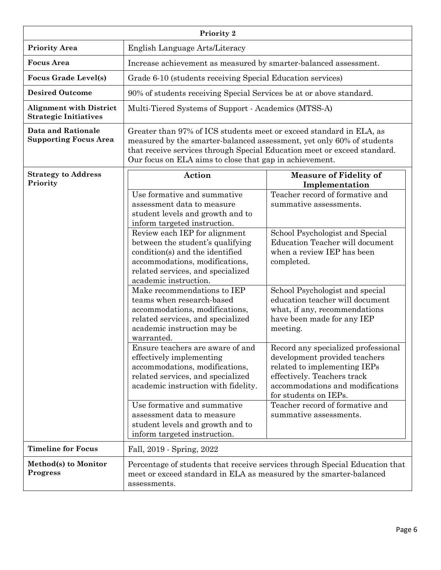|                                                                | Priority 2                                                                                                                                                                                                                                                                          |                                                                                                                                                                                                  |  |  |
|----------------------------------------------------------------|-------------------------------------------------------------------------------------------------------------------------------------------------------------------------------------------------------------------------------------------------------------------------------------|--------------------------------------------------------------------------------------------------------------------------------------------------------------------------------------------------|--|--|
| <b>Priority Area</b>                                           | English Language Arts/Literacy                                                                                                                                                                                                                                                      |                                                                                                                                                                                                  |  |  |
| <b>Focus Area</b>                                              | Increase achievement as measured by smarter-balanced assessment.                                                                                                                                                                                                                    |                                                                                                                                                                                                  |  |  |
| <b>Focus Grade Level(s)</b>                                    | Grade 6-10 (students receiving Special Education services)                                                                                                                                                                                                                          |                                                                                                                                                                                                  |  |  |
| <b>Desired Outcome</b>                                         | 90% of students receiving Special Services be at or above standard.                                                                                                                                                                                                                 |                                                                                                                                                                                                  |  |  |
| <b>Alignment with District</b><br><b>Strategic Initiatives</b> | Multi-Tiered Systems of Support - Academics (MTSS-A)                                                                                                                                                                                                                                |                                                                                                                                                                                                  |  |  |
| <b>Data and Rationale</b><br><b>Supporting Focus Area</b>      | Greater than 97% of ICS students meet or exceed standard in ELA, as<br>measured by the smarter-balanced assessment, yet only 60% of students<br>that receive services through Special Education meet or exceed standard.<br>Our focus on ELA aims to close that gap in achievement. |                                                                                                                                                                                                  |  |  |
| <b>Strategy to Address</b><br>Priority                         | Action                                                                                                                                                                                                                                                                              | <b>Measure of Fidelity of</b><br>Implementation                                                                                                                                                  |  |  |
|                                                                | Use formative and summative<br>assessment data to measure<br>student levels and growth and to<br>inform targeted instruction.<br>Review each IEP for alignment                                                                                                                      | Teacher record of formative and<br>summative assessments.<br>School Psychologist and Special                                                                                                     |  |  |
|                                                                | between the student's qualifying<br>condition(s) and the identified<br>accommodations, modifications,<br>related services, and specialized<br>academic instruction.                                                                                                                 | Education Teacher will document<br>when a review IEP has been<br>completed.                                                                                                                      |  |  |
|                                                                | Make recommendations to IEP<br>teams when research-based<br>accommodations, modifications,<br>related services, and specialized<br>academic instruction may be<br>warranted.                                                                                                        | School Psychologist and special<br>education teacher will document<br>what, if any, recommendations<br>have been made for any IEP<br>meeting.                                                    |  |  |
|                                                                | Ensure teachers are aware of and<br>effectively implementing<br>accommodations, modifications,<br>related services, and specialized<br>academic instruction with fidelity.                                                                                                          | Record any specialized professional<br>development provided teachers<br>related to implementing IEPs<br>effectively. Teachers track<br>accommodations and modifications<br>for students on IEPs. |  |  |
|                                                                | Use formative and summative<br>assessment data to measure<br>student levels and growth and to<br>inform targeted instruction.                                                                                                                                                       | Teacher record of formative and<br>summative assessments.                                                                                                                                        |  |  |
| <b>Timeline for Focus</b>                                      | Fall, 2019 - Spring, 2022                                                                                                                                                                                                                                                           |                                                                                                                                                                                                  |  |  |
| Method(s) to Monitor<br><b>Progress</b>                        | meet or exceed standard in ELA as measured by the smarter-balanced<br>assessments.                                                                                                                                                                                                  | Percentage of students that receive services through Special Education that                                                                                                                      |  |  |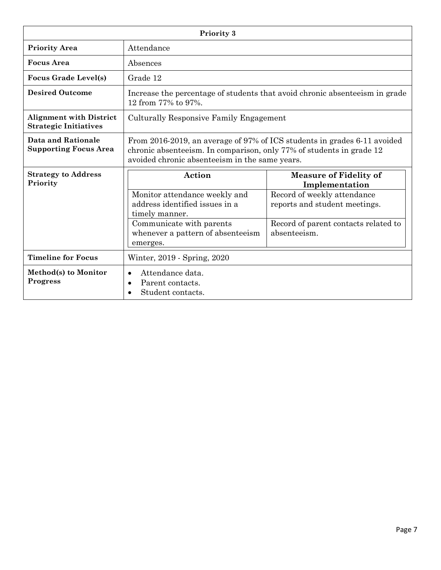|                                                                | Priority 3                                                                                                                                                                                         |                                                              |  |  |
|----------------------------------------------------------------|----------------------------------------------------------------------------------------------------------------------------------------------------------------------------------------------------|--------------------------------------------------------------|--|--|
| <b>Priority Area</b>                                           | Attendance                                                                                                                                                                                         |                                                              |  |  |
| <b>Focus Area</b>                                              | Absences                                                                                                                                                                                           |                                                              |  |  |
| <b>Focus Grade Level(s)</b>                                    | Grade 12                                                                                                                                                                                           |                                                              |  |  |
| <b>Desired Outcome</b>                                         | Increase the percentage of students that avoid chronic absenteeism in grade<br>12 from 77% to 97%.                                                                                                 |                                                              |  |  |
| <b>Alignment with District</b><br><b>Strategic Initiatives</b> | Culturally Responsive Family Engagement                                                                                                                                                            |                                                              |  |  |
| Data and Rationale<br><b>Supporting Focus Area</b>             | From 2016-2019, an average of 97% of ICS students in grades 6-11 avoided<br>chronic absenteeism. In comparison, only 77% of students in grade 12<br>avoided chronic absenteeism in the same years. |                                                              |  |  |
| <b>Strategy to Address</b><br>Priority                         | Action                                                                                                                                                                                             | <b>Measure of Fidelity of</b><br>Implementation              |  |  |
|                                                                | Monitor attendance weekly and<br>address identified issues in a<br>timely manner.                                                                                                                  | Record of weekly attendance<br>reports and student meetings. |  |  |
|                                                                | Communicate with parents<br>whenever a pattern of absenteeism<br>emerges.                                                                                                                          | Record of parent contacts related to<br>absenteeism.         |  |  |
| <b>Timeline for Focus</b>                                      | Winter, 2019 - Spring, 2020                                                                                                                                                                        |                                                              |  |  |
| Method(s) to Monitor<br><b>Progress</b>                        | Attendance data.<br>$\bullet$<br>Parent contacts.<br>$\bullet$<br>Student contacts.                                                                                                                |                                                              |  |  |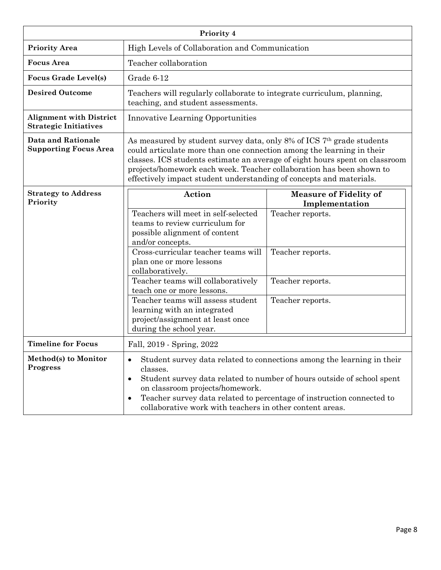|                                                                | Priority 4                                                                                                                                                                                                                                                                                                                                                                     |                                                                                                                                                                                                                           |  |  |
|----------------------------------------------------------------|--------------------------------------------------------------------------------------------------------------------------------------------------------------------------------------------------------------------------------------------------------------------------------------------------------------------------------------------------------------------------------|---------------------------------------------------------------------------------------------------------------------------------------------------------------------------------------------------------------------------|--|--|
| <b>Priority Area</b>                                           | High Levels of Collaboration and Communication                                                                                                                                                                                                                                                                                                                                 |                                                                                                                                                                                                                           |  |  |
| <b>Focus Area</b>                                              | Teacher collaboration                                                                                                                                                                                                                                                                                                                                                          |                                                                                                                                                                                                                           |  |  |
| <b>Focus Grade Level(s)</b>                                    | Grade 6-12                                                                                                                                                                                                                                                                                                                                                                     |                                                                                                                                                                                                                           |  |  |
| <b>Desired Outcome</b>                                         | Teachers will regularly collaborate to integrate curriculum, planning,<br>teaching, and student assessments.                                                                                                                                                                                                                                                                   |                                                                                                                                                                                                                           |  |  |
| <b>Alignment with District</b><br><b>Strategic Initiatives</b> | <b>Innovative Learning Opportunities</b>                                                                                                                                                                                                                                                                                                                                       |                                                                                                                                                                                                                           |  |  |
| <b>Data and Rationale</b><br><b>Supporting Focus Area</b>      | As measured by student survey data, only 8% of ICS $7th$ grade students<br>could articulate more than one connection among the learning in their<br>classes. ICS students estimate an average of eight hours spent on classroom<br>projects/homework each week. Teacher collaboration has been shown to<br>effectively impact student understanding of concepts and materials. |                                                                                                                                                                                                                           |  |  |
| <b>Strategy to Address</b><br>Priority                         | Action                                                                                                                                                                                                                                                                                                                                                                         | <b>Measure of Fidelity of</b><br>Implementation                                                                                                                                                                           |  |  |
|                                                                | Teachers will meet in self-selected<br>teams to review curriculum for<br>possible alignment of content<br>and/or concepts.                                                                                                                                                                                                                                                     | Teacher reports.                                                                                                                                                                                                          |  |  |
|                                                                | Cross-curricular teacher teams will<br>plan one or more lessons<br>collaboratively.                                                                                                                                                                                                                                                                                            | Teacher reports.                                                                                                                                                                                                          |  |  |
|                                                                | Teacher teams will collaboratively<br>teach one or more lessons.                                                                                                                                                                                                                                                                                                               | Teacher reports.                                                                                                                                                                                                          |  |  |
|                                                                | Teacher teams will assess student<br>learning with an integrated<br>project/assignment at least once<br>during the school year.                                                                                                                                                                                                                                                | Teacher reports.                                                                                                                                                                                                          |  |  |
| <b>Timeline for Focus</b>                                      | Fall, 2019 - Spring, 2022                                                                                                                                                                                                                                                                                                                                                      |                                                                                                                                                                                                                           |  |  |
| Method(s) to Monitor<br><b>Progress</b>                        | $\bullet$<br>classes.<br>$\bullet$<br>on classroom projects/homework.<br>$\bullet$<br>collaborative work with teachers in other content areas.                                                                                                                                                                                                                                 | Student survey data related to connections among the learning in their<br>Student survey data related to number of hours outside of school spent<br>Teacher survey data related to percentage of instruction connected to |  |  |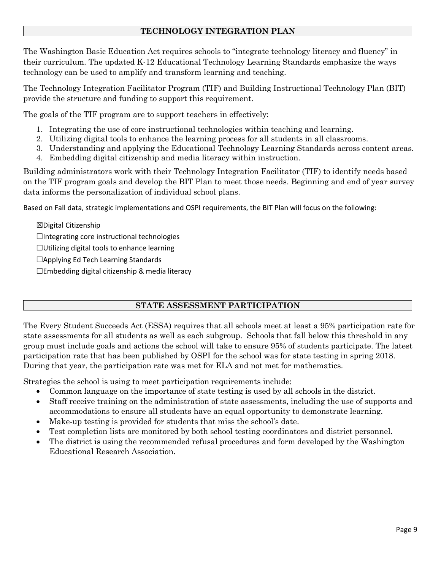### **TECHNOLOGY INTEGRATION PLAN**

The Washington Basic Education Act requires schools to "integrate technology literacy and fluency" in their curriculum. The updated K-12 Educational Technology Learning Standards emphasize the ways technology can be used to amplify and transform learning and teaching.

The Technology Integration Facilitator Program (TIF) and Building Instructional Technology Plan (BIT) provide the structure and funding to support this requirement.

The goals of the TIF program are to support teachers in effectively:

- 1. Integrating the use of core instructional technologies within teaching and learning.
- 2. Utilizing digital tools to enhance the learning process for all students in all classrooms.
- 3. Understanding and applying the Educational Technology Learning Standards across content areas.
- 4. Embedding digital citizenship and media literacy within instruction.

Building administrators work with their Technology Integration Facilitator (TIF) to identify needs based on the TIF program goals and develop the BIT Plan to meet those needs. Beginning and end of year survey data informs the personalization of individual school plans.

Based on Fall data, strategic implementations and OSPI requirements, the BIT Plan will focus on the following:

☒Digital Citizenship ☐Integrating core instructional technologies ☐Utilizing digital tools to enhance learning ☐Applying Ed Tech Learning Standards ☐Embedding digital citizenship & media literacy

### **STATE ASSESSMENT PARTICIPATION**

The Every Student Succeeds Act (ESSA) requires that all schools meet at least a 95% participation rate for state assessments for all students as well as each subgroup. Schools that fall below this threshold in any group must include goals and actions the school will take to ensure 95% of students participate. The latest participation rate that has been published by OSPI for the school was for state testing in spring 2018. During that year, the participation rate was met for ELA and not met for mathematics.

Strategies the school is using to meet participation requirements include:

- Common language on the importance of state testing is used by all schools in the district.
- Staff receive training on the administration of state assessments, including the use of supports and accommodations to ensure all students have an equal opportunity to demonstrate learning.
- Make-up testing is provided for students that miss the school's date.
- Test completion lists are monitored by both school testing coordinators and district personnel.
- The district is using the recommended refusal procedures and form developed by the Washington Educational Research Association.